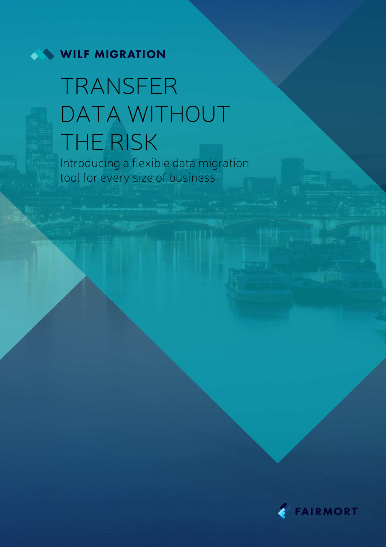

# TRANSFER DATA WITHOUT **THE RISK**

Introducing a flexible data migration tool for every size of business

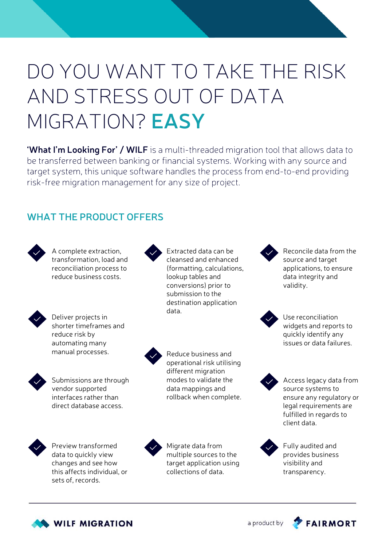# DO YOU WANT TO TAKE THE RISK AND STRESS OUT OF DATA MIGRATION? **EASY**

**'What I'm Looking For' / WILF** is a multi-threaded migration tool that allows data to be transferred between banking or financial systems. Working with any source and target system, this unique software handles the process from end-to-end providing risk-free migration management for any size of project.

## **WHAT THE PRODUCT OFFERS**



```
A complete extraction, 
transformation, load and 
reconciliation process to 
reduce business costs.
```


Deliver projects in shorter timeframes and reduce risk by automating many manual processes.



Submissions are through vendor supported interfaces rather than direct database access.



Preview transformed data to quickly view changes and see how this affects individual, or sets of, records.



Extracted data can be cleansed and enhanced (formatting, calculations, lookup tables and conversions) prior to submission to the destination application data.



Reduce business and operational risk utilising different migration modes to validate the data mappings and rollback when complete.



Migrate data from multiple sources to the target application using collections of data.



Reconcile data from the source and target applications, to ensure data integrity and validity.



Use reconciliation widgets and reports to quickly identify any issues or data failures.



Access legacy data from source systems to ensure any regulatory or legal requirements are fulfilled in regards to client data.



Fully audited and provides business visibility and transparency.



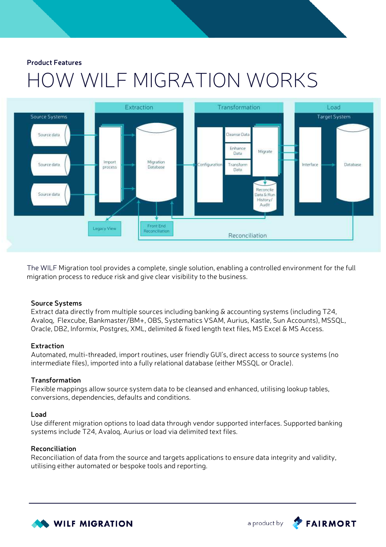# HOW WILF MIGRATION WORKS



The WILF Migration tool provides a complete, single solution, enabling a controlled environment for the full migration process to reduce risk and give clear visibility to the business.

### **Source Systems**

Extract data directly from multiple sources including banking & accounting systems (including T24, Avaloq, Flexcube, Bankmaster/BM+, OBS, Systematics VSAM, Aurius, Kastle, Sun Accounts), MSSQL, Oracle, DB2, Informix, Postgres, XML, delimited & fixed length text files, MS Excel & MS Access.

### **Extraction**

Automated, multi-threaded, import routines, user friendly GUI's, direct access to source systems (no intermediate files), imported into a fully relational database (either MSSQL or Oracle).

### **Transformation**

Flexible mappings allow source system data to be cleansed and enhanced, utilising lookup tables, conversions, dependencies, defaults and conditions.

#### **Load**

Use different migration options to load data through vendor supported interfaces. Supported banking systems include T24, Avaloq, Aurius or load via delimited text files.

### **Reconciliation**

Reconciliation of data from the source and targets applications to ensure data integrity and validity, utilising either automated or bespoke tools and reporting.



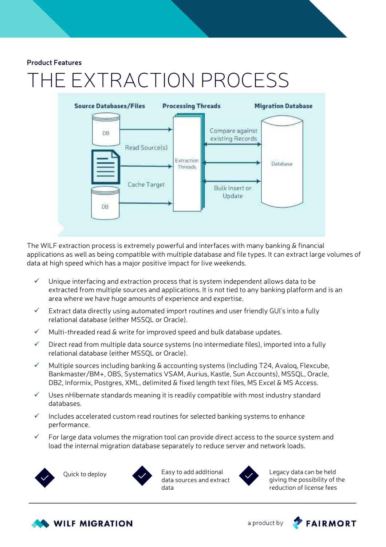# EXTRACTION PROCESS



The WILF extraction process is extremely powerful and interfaces with many banking & financial applications as well as being compatible with multiple database and file types. It can extract large volumes of data at high speed which has a major positive impact for live weekends.

- $\checkmark$  Unique interfacing and extraction process that is system independent allows data to be extracted from multiple sources and applications. It is not tied to any banking platform and is an area where we have huge amounts of experience and expertise.
- $\checkmark$  Extract data directly using automated import routines and user friendly GUI's into a fully relational database (either MSSQL or Oracle).
- Multi-threaded read & write for improved speed and bulk database updates.
- $\checkmark$  Direct read from multiple data source systems (no intermediate files), imported into a fully relational database (either MSSQL or Oracle).
- $\checkmark$  Multiple sources including banking & accounting systems (including T24, Avalog, Flexcube, Bankmaster/BM+, OBS, Systematics VSAM, Aurius, Kastle, Sun Accounts), MSSQL, Oracle, DB2, Informix, Postgres, XML, delimited & fixed length text files, MS Excel & MS Access.
- $\checkmark$  Uses nHibernate standards meaning it is readily compatible with most industry standard databases.
- Includes accelerated custom read routines for selected banking systems to enhance performance.
- For large data volumes the migration tool can provide direct access to the source system and load the internal migration database separately to reduce server and network loads.







Legacy data can be held giving the possibility of the reduction of license fees



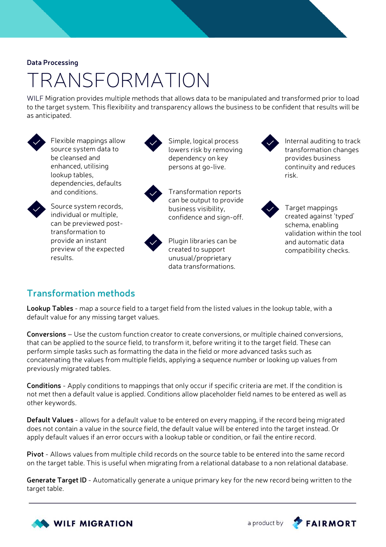### **Data Processing**

## TRANSFORMATION

WILF Migration provides multiple methods that allows data to be manipulated and transformed prior to load to the target system. This flexibility and transparency allows the business to be confident that results will be as anticipated.



Flexible mappings allow source system data to be cleansed and enhanced, utilising lookup tables, dependencies, defaults and conditions.

Source system records, individual or multiple, can be previewed posttransformation to provide an instant preview of the expected



Simple, logical process lowers risk by removing dependency on key persons at go-live.



Transformation reports can be output to provide business visibility, confidence and sign-off.



Plugin libraries can be created to support unusual/proprietary data transformations.

Internal auditing to track transformation changes provides business continuity and reduces risk.



Target mappings created against 'typed' schema, enabling validation within the tool and automatic data compatibility checks.

## **Transformation methods**

results.

**Lookup Tables** - map a source field to a target field from the listed values in the lookup table, with a default value for any missing target values.

**Conversions** – Use the custom function creator to create conversions, or multiple chained conversions, that can be applied to the source field, to transform it, before writing it to the target field. These can perform simple tasks such as formatting the data in the field or more advanced tasks such as concatenating the values from multiple fields, applying a sequence number or looking up values from previously migrated tables.

**Conditions** - Apply conditions to mappings that only occur if specific criteria are met. If the condition is not met then a default value is applied. Conditions allow placeholder field names to be entered as well as other keywords.

**Default Values** - allows for a default value to be entered on every mapping, if the record being migrated does not contain a value in the source field, the default value will be entered into the target instead. Or apply default values if an error occurs with a lookup table or condition, or fail the entire record.

**Pivot** - Allows values from multiple child records on the source table to be entered into the same record on the target table. This is useful when migrating from a relational database to a non relational database.

**Generate Target ID** - Automatically generate a unique primary key for the new record being written to the target table.



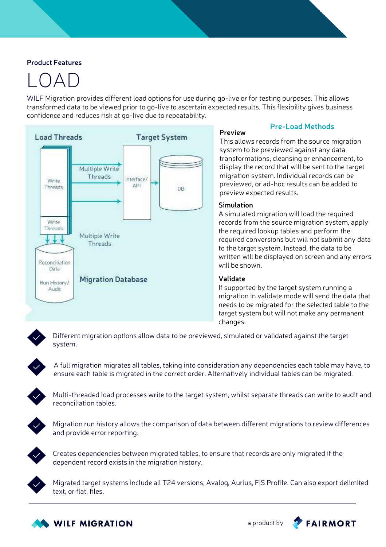## LOAD

WILF Migration provides different load options for use during go-live or for testing purposes. This allows transformed data to be viewed prior to go-live to ascertain expected results. This flexibility gives business confidence and reduces risk at go-live due to repeatability.



## **Pre-Load Methods**

**Preview** This allows records from the source migration system to be previewed against any data transformations, cleansing or enhancement, to display the record that will be sent to the target migration system. Individual records can be previewed, or ad-hoc results can be added to preview expected results.

### **Simulation**

A simulated migration will load the required records from the source migration system, apply the required lookup tables and perform the required conversions but will not submit any data to the target system. Instead, the data to be written will be displayed on screen and any errors will be shown.

### **Validate**

If supported by the target system running a migration in validate mode will send the data that needs to be migrated for the selected table to the target system but will not make any permanent changes.



Different migration options allow data to be previewed, simulated or validated against the target system.



A full migration migrates all tables, taking into consideration any dependencies each table may have, to ensure each table is migrated in the correct order. Alternatively individual tables can be migrated.



Multi-threaded load processes write to the target system, whilst separate threads can write to audit and reconciliation tables.



Migration run history allows the comparison of data between different migrations to review differences and provide error reporting.



Creates dependencies between migrated tables, to ensure that records are only migrated if the dependent record exists in the migration history.



Migrated target systems include all T24 versions, Avaloq, Aurius, FIS Profile. Can also export delimited text, or flat, files.



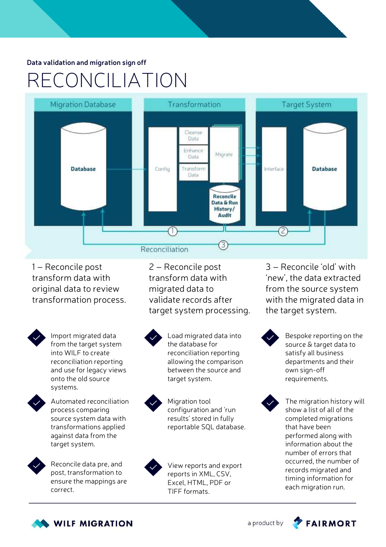### **Data validation and migration sign off**

## RECONCILIATION



1 – Reconcile post transform data with original data to review transformation process.



Import migrated data from the target system into WILF to create reconciliation reporting and use for legacy views onto the old source systems.



Automated reconciliation process comparing source system data with transformations applied against data from the target system.



Reconcile data pre, and post, transformation to ensure the mappings are correct.

2 – Reconcile post transform data with migrated data to validate records after target system processing.



Load migrated data into the database for reconciliation reporting allowing the comparison between the source and target system.

Migration tool configuration and 'run results' stored in fully reportable SQL database.



View reports and export reports in XML, CSV, Excel, HTML, PDF or TIFF formats.

3 – Reconcile 'old' with 'new', the data extracted from the source system with the migrated data in the target system.



Bespoke reporting on the source & target data to satisfy all business departments and their own sign-off requirements.



The migration history will show a list of all of the completed migrations that have been performed along with information about the number of errors that occurred, the number of records migrated and timing information for each migration run.



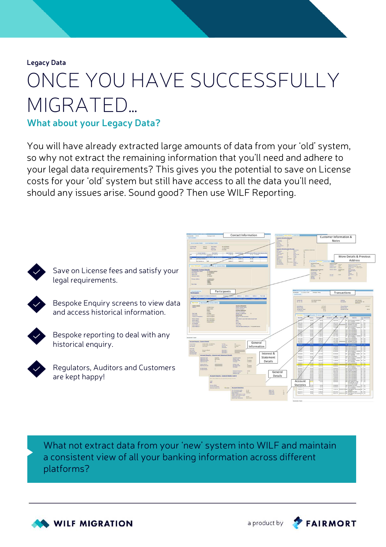**Legacy Data**

# ONCE YOU HAVE SUCCESSFULLY MIGRATED…

### **What about your Legacy Data?**

You will have already extracted large amounts of data from your 'old' system, so why not extract the remaining information that you'll need and adhere to your legal data requirements? This gives you the potential to save on License costs for your 'old' system but still have access to all the data you'll need, should any issues arise. Sound good? Then use WILF Reporting.



Save on License fees and satisfy your legal requirements.



Bespoke Enquiry screens to view data and access historical information.



Bespoke reporting to deal with any historical enquiry.



Regulators, Auditors and Customers are kept happy!



What not extract data from your 'new' system into WILF and maintain a consistent view of all your banking information across different platforms?





**FAIRMORT**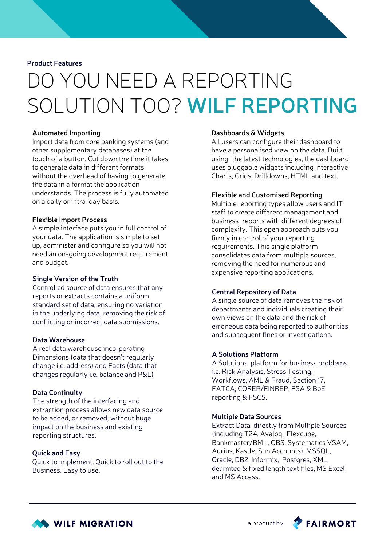## DO YOU NEED A REPORTING SOLUTION TOO? **WILF REPORTING**

### **Automated Importing**

Import data from core banking systems (and other supplementary databases) at the touch of a button. Cut down the time it takes to generate data in different formats without the overhead of having to generate the data in a format the application understands. The process is fully automated on a daily or intra-day basis.

### **Flexible Import Process**

A simple interface puts you in full control of your data. The application is simple to set up, administer and configure so you will not need an on-going development requirement and budget.

#### **Single Version of the Truth**

Controlled source of data ensures that any reports or extracts contains a uniform, standard set of data, ensuring no variation in the underlying data, removing the risk of conflicting or incorrect data submissions.

### **Data Warehouse**

A real data warehouse incorporating Dimensions (data that doesn't regularly change i.e. address) and Facts (data that changes regularly i.e. balance and P&L)

### **Data Continuity**

The strength of the interfacing and extraction process allows new data source to be added, or removed, without huge impact on the business and existing reporting structures.

### **Quick and Easy**

Quick to implement. Quick to roll out to the Business. Easy to use.

### **Dashboards & Widgets**

All users can configure their dashboard to have a personalised view on the data. Built using the latest technologies, the dashboard uses pluggable widgets including Interactive Charts, Grids, Drilldowns, HTML and text.

### **Flexible and Customised Reporting**

Multiple reporting types allow users and IT staff to create different management and business reports with different degrees of complexity. This open approach puts you firmly in control of your reporting requirements. This single platform consolidates data from multiple sources, removing the need for numerous and expensive reporting applications.

### **Central Repository of Data**

A single source of data removes the risk of departments and individuals creating their own views on the data and the risk of erroneous data being reported to authorities and subsequent fines or investigations.

### **A Solutions Platform**

A Solutions platform for business problems i.e. Risk Analysis, Stress Testing, Workflows, AML & Fraud, Section 17, FATCA, COREP/FINREP, FSA & BoE reporting & FSCS.

### **Multiple Data Sources**

Extract Data directly from Multiple Sources (including T24, Avaloq, Flexcube, Bankmaster/BM+, OBS, Systematics VSAM, Aurius, Kastle, Sun Accounts), MSSQL, Oracle, DB2, Informix, Postgres, XML, delimited & fixed length text files, MS Excel and MS Access.